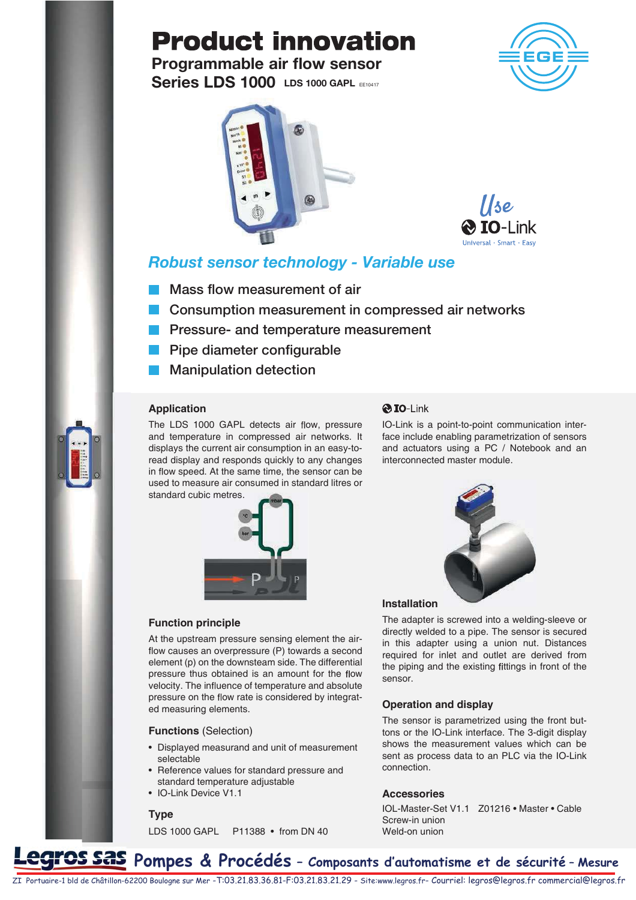# **Product innovation**

**Series LDS 1000 LDS 1000 GAPL EE10417** Programmable air flow sensor





llse **IO-Link** 

### Robust sensor technology - Variable use

- **Mass flow measurement of air**
- **Consumption measurement in compressed air networks**
- **Pressure- and temperature measurement**
- **Pipe diameter configurable**
- **Manipulation detection**

#### **Application**

The LDS 1000 GAPL detects air flow, pressure and temperature in compressed air networks. It displays the current air consumption in an easy-toread display and responds quickly to any changes in flow speed. At the same time, the sensor can be used to measure air consumed in standard litres or standard cubic metres.



#### **Function principle**

At the upstream pressure sensing element the air flow causes an overpressure (P) towards a second element (p) on the downsteam side. The differential pressure thus obtained is an amount for the flow velocity. The influence of temperature and absolute pressure on the flow rate is considered by integrated measuring elements.

**Functions** (Selection)

- Displayed measurand and unit of measurement selectable
- Reference values for standard pressure and standard temperature adjustable
- IO-Link Device V1.1

#### **Type**

LDS 1000 GAPL P11388 • from DN 40

#### **@IO-Link**

IO-Link is a point-to-point communication interface include enabling parametrization of sensors and actuators using a PC / Notebook and an interconnected master module.



#### **Installation**

The adapter is screwed into a welding-sleeve or directly welded to a pipe. The sensor is secured in this adapter using a union nut. Distances required for inlet and outlet are derived from the piping and the existing fittings in front of the sensor.

#### **Operation and display**

The sensor is parametrized using the front buttons or the IO-Link interface. The 3-digit display shows the measurement values which can be sent as process data to an PLC via the IO-Link connection.

#### **Accessories**

IOL-Master-Set V1.1 Z01216 • Master • Cable Screw-in union Weld-on union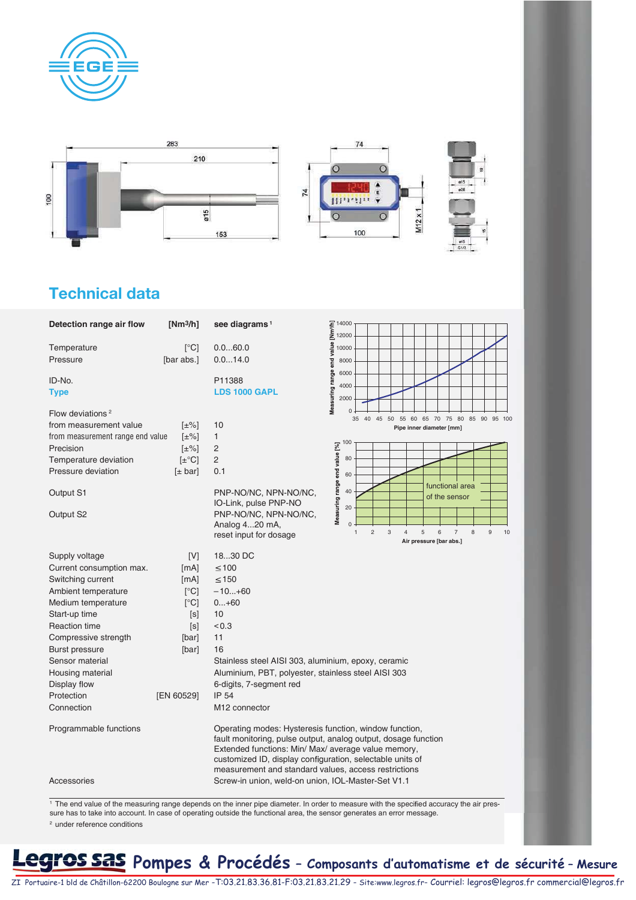







### Technical data

| Detection range air flow         | $[Nm^3/h]$          | see diagrams <sup>1</sup>                                                                                  | 듷 14000<br>트<br>크 12000                                                                                        |  |  |  |
|----------------------------------|---------------------|------------------------------------------------------------------------------------------------------------|----------------------------------------------------------------------------------------------------------------|--|--|--|
|                                  |                     |                                                                                                            |                                                                                                                |  |  |  |
| Temperature                      | $\lceil$ °C]        | 0.060.0                                                                                                    | value<br>10000                                                                                                 |  |  |  |
| Pressure                         | [bar abs.]          | 0.014.0                                                                                                    | end<br>8000                                                                                                    |  |  |  |
| ID-No.                           |                     | P11388                                                                                                     | Measuring range<br>6000                                                                                        |  |  |  |
| <b>Type</b>                      |                     | <b>LDS 1000 GAPL</b>                                                                                       | 4000<br>2000                                                                                                   |  |  |  |
|                                  |                     |                                                                                                            |                                                                                                                |  |  |  |
| Flow deviations <sup>2</sup>     |                     |                                                                                                            | 0<br>40 45 50 55 60 65 70 75 80 85 90 95 100<br>35                                                             |  |  |  |
| from measurement value           | $[\pm\%]$           | 10                                                                                                         | Pipe inner diameter [mm]                                                                                       |  |  |  |
| from measurement range end value | $[\pm\%]$           | 1                                                                                                          | 100                                                                                                            |  |  |  |
| Precision                        | $[\pm\%]$           | 2                                                                                                          |                                                                                                                |  |  |  |
| Temperature deviation            | $[\pm$ °C]          | $\overline{c}$                                                                                             | 80                                                                                                             |  |  |  |
| Pressure deviation               | $[\pm \text{ bar}]$ | 0.1                                                                                                        | Measuring range end value [%]<br>60                                                                            |  |  |  |
|                                  |                     |                                                                                                            | functional area                                                                                                |  |  |  |
| Output S1                        |                     | PNP-NO/NC, NPN-NO/NC,                                                                                      | 40<br>of the sensor                                                                                            |  |  |  |
|                                  |                     | IO-Link, pulse PNP-NO                                                                                      | 20                                                                                                             |  |  |  |
| Output S2                        |                     | PNP-NO/NC, NPN-NO/NC,                                                                                      |                                                                                                                |  |  |  |
|                                  |                     | Analog 420 mA,                                                                                             | $\mathbf 0$<br>8<br>$\overline{c}$<br>$\sqrt{3}$<br>5<br>$\overline{7}$<br>$\overline{4}$<br>6<br>9<br>10<br>1 |  |  |  |
|                                  |                     | reset input for dosage                                                                                     | Air pressure [bar abs.]                                                                                        |  |  |  |
| Supply voltage                   | [V]                 | 1830 DC                                                                                                    |                                                                                                                |  |  |  |
| Current consumption max.         | [mA]                | $≤ 100$                                                                                                    |                                                                                                                |  |  |  |
| Switching current                | [mA]                | $\leq 150$                                                                                                 |                                                                                                                |  |  |  |
| Ambient temperature              | [°C]                | $-10+60$                                                                                                   |                                                                                                                |  |  |  |
| Medium temperature               | $\lceil$ °C]        | $0+60$                                                                                                     |                                                                                                                |  |  |  |
| Start-up time                    | [s]                 | 10                                                                                                         |                                                                                                                |  |  |  |
| <b>Reaction time</b>             | [s]                 | < 0.3                                                                                                      |                                                                                                                |  |  |  |
| Compressive strength             | [bar]               | 11                                                                                                         |                                                                                                                |  |  |  |
| <b>Burst pressure</b>            |                     | 16                                                                                                         |                                                                                                                |  |  |  |
|                                  | [bar]               |                                                                                                            |                                                                                                                |  |  |  |
| Sensor material                  |                     | Stainless steel AISI 303, aluminium, epoxy, ceramic<br>Aluminium, PBT, polyester, stainless steel AISI 303 |                                                                                                                |  |  |  |
| Housing material                 |                     |                                                                                                            |                                                                                                                |  |  |  |
| Display flow                     |                     | 6-digits, 7-segment red                                                                                    |                                                                                                                |  |  |  |
| Protection                       | [EN 60529]          | <b>IP 54</b>                                                                                               |                                                                                                                |  |  |  |
| Connection                       |                     | M <sub>12</sub> connector                                                                                  |                                                                                                                |  |  |  |
| Programmable functions           |                     | Operating modes: Hysteresis function, window function,                                                     |                                                                                                                |  |  |  |
|                                  |                     |                                                                                                            | fault monitoring, pulse output, analog output, dosage function                                                 |  |  |  |
|                                  |                     | Extended functions: Min/ Max/ average value memory,                                                        |                                                                                                                |  |  |  |
|                                  |                     | customized ID, display configuration, selectable units of                                                  |                                                                                                                |  |  |  |
|                                  |                     | measurement and standard values, access restrictions                                                       |                                                                                                                |  |  |  |
|                                  |                     |                                                                                                            |                                                                                                                |  |  |  |

sure has to take into account. In case of operating outside the functional area, the sensor generates an error message. 2 under reference conditions

## **205 SAS** Pompes & Procédés - Composants d'automatisme et de sécurité - Mesure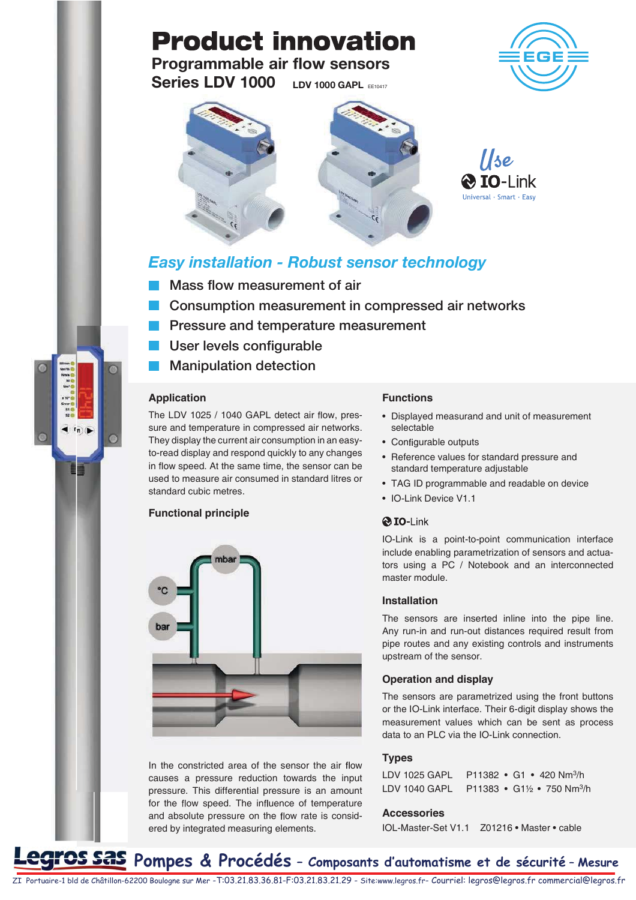# **Product innovation**

**LDV 1000 GAPL EE10417** Programmable air flow sensors Series LDV 1000





### Easy installation - Robust sensor technology

- Mass flow measurement of air
- Consumption measurement in compressed air networks
- Pressure and temperature measurement
- User levels configurable
- Manipulation detection

#### **Application**

 $ln($ 

The LDV 1025 / 1040 GAPL detect air flow, pressure and temperature in compressed air networks. They display the current air consumption in an easyto-read display and respond quickly to any changes in flow speed. At the same time, the sensor can be used to measure air consumed in standard litres or standard cubic metres.

#### **Functional principle**



In the constricted area of the sensor the air flow causes a pressure reduction towards the input pressure. This differential pressure is an amount for the flow speed. The influence of temperature and absolute pressure on the flow rate is considered by integrated measuring elements.

#### **Functions**

- Displayed measurand and unit of measurement selectable
- Configurable outputs
- Reference values for standard pressure and standard temperature adjustable
- TAG ID programmable and readable on device
- IO-Link Device V1.1

#### **@IO-Link**

IO-Link is a point-to-point communication interface include enabling parametrization of sensors and actuators using a PC / Notebook and an interconnected master module.

#### **Installation**

The sensors are inserted inline into the pipe line. Any run-in and run-out distances required result from pipe routes and any existing controls and instruments upstream of the sensor.

#### **Operation and display**

The sensors are parametrized using the front buttons or the IO-Link interface. Their 6-digit display shows the measurement values which can be sent as process data to an PLC via the IO-Link connection.

#### **Types**

| LDV 1025 GAPL | $P11382 \cdot G1 \cdot 420 Nm^3/h$    |
|---------------|---------------------------------------|
| LDV 1040 GAPL | P11383 • G1½ • 750 Nm <sup>3</sup> /h |

#### **Accessories**

IOL-Master-Set V1.1 Z01216 • Master • cable

## **2005 SAS** Pompes & Procédés - Composants d'automatisme et de sécurité - Mesure